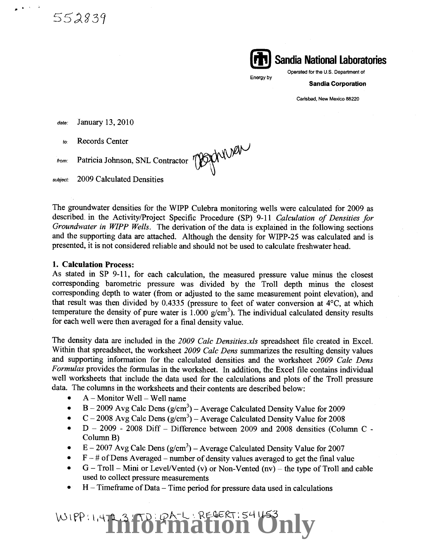552839



Energy by

**Sandia Corporation** 

Carlsbad, New Mexico 88220

date: January 13, 2010

to: Records Center

OBJONINER from: Patricia Johnson, SNL Contractor

subject: 2009 Calculated Densities

The groundwater densities for the WIPP Culebra monitoring wells were calculated for 2009 as described. in the Activity/Project Specific Procedure (SP) 9-11 *Galculation of Densities for Groundwater in WIPP Wells.* The derivation of the data is explained in the following sections and the supporting data are attached. Although the density for WIPP-25 was calculated and is presented, it is not considered reliable and should not be used to calculate freshwater head.

#### **1. Calculation Process:**

As stated in SP 9-11, for each calculation, the measured pressure value minus the closest corresponding barometric pressure was divided by the Troll depth minus the closest corresponding depth to water (from or adjusted to the same measurement point elevation), and that result was then divided by 0.4335 (pressure to feet of water conversion at 4°C, at which temperature the density of pure water is 1.000  $g/cm<sup>3</sup>$ ). The individual calculated density results for each well were then averaged for a final density value.

The density data are included in the *2009 Calc Densities.xls* spreadsheet file created in Excel. Within that spreadsheet, the worksheet *2009 Calc Dens* summarizes the resulting density values and supporting information for the calculated densities and the worksheet *2009 Calc Dens Formulas* provides the formulas in the worksheet. In addition, the Excel file contains individual well worksheets that include the data used for the calculations and plots of the Troll pressure data. The columns in the worksheets and their contents are described below:

- $A -$  Monitor Well  $-$  Well name
- B 2009 Avg Calc Dens  $(g/cm^3)$  Average Calculated Density Value for 2009
- C 2008 Avg Calc Dens (g/cm<sup>3</sup>) Average Calculated Density Value for 2008
- $D 2009 2008$  Diff Difference between 2009 and 2008 densities (Column C -Column B)
- E 2007 Avg Calc Dens  $(g/cm^3)$  Average Calculated Density Value for 2007
- $F #$  of Dens Averaged number of density values averaged to get the final value
- $G Troll Mini$  or Level/Vented (v) or Non-Vented (nv) the type of Troll and cable used to collect pressure measurements
- H Timeframe of Data Time period for pressure data used in calculations

# WIPPERT3 TO PA-LERECERTIS41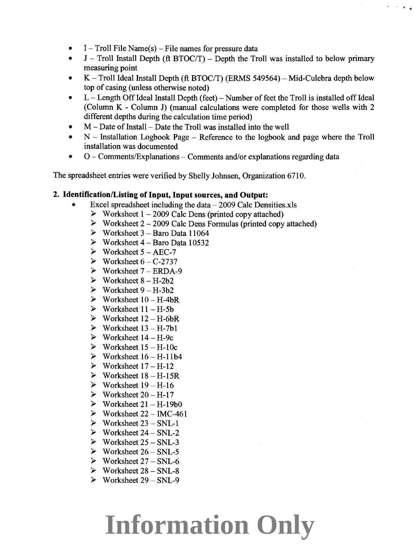- $1 -$  Troll File Name(s) File names for pressure data
- $J$  Troll Install Depth (ft BTOC/T) Depth the Troll was installed to below primary measuring point
- K Troll Ideal Install Depth (ft BTOC/T) (ERMS 549564) Mid-Culebra depth below top of casing (unless otherwise noted)
- L Length Off Ideal Install Depth (feet) Number of feet the Troll is installed off Ideal (Column K - Column J) (manual calculations were completed for those wells with 2 different depths during the calculation time period)
- $M$  Date of Install Date the Troll was installed into the well
- N Installation Logbook Page Reference to the logbook and page where the Troll installation was documented
- $O$  Comments/Explanations Comments and/or explanations regarding data

The spreadsheet entries were verified by Shelly Johnsen, Organization 6710.

#### **2. Identification/Listing of Input, Input sources, and Output:**

- Excel spreadsheet including the data $2009$  Calc Densities.xls
	- $\triangleright$  Worksheet 1 2009 Calc Dens (printed copy attached)
	- *»* Worksheet 2-2009 Calc Dens Formulas (printed copy attached)
	- Worksheet  $3 -$  Baro Data 11064
	- Worksheet  $4 \text{Baro Data } 10532$
	- $\triangleright$  Worksheet 5 AEC-7
	- $\triangleright$  Worksheet  $6 C$ -2737
	- $\triangleright$  Worksheet 7 ERDA-9
	- $\triangleright$  Worksheet  $8 H 2b2$
	- $\triangleright$  Worksheet  $9 H 3b2$
	- $\triangleright$  Worksheet  $10 H 4bR$
	- $\triangleright$  Worksheet  $11 H$ -5b
	- $\triangleright$  Worksheet  $12 H$ -6bR
	- $\triangleright$  Worksheet  $13 H$ -7b1
	- $\triangleright$  Worksheet  $14 H$ -9c
	- Worksheet  $15 H-10c$
	- $\triangleright$  Worksheet  $16 H 11b4$
	- $\triangleright$  Worksheet  $17 H 12$
	- $\triangleright$  Worksheet  $18 H 15R$
	- $\triangleright$  Worksheet  $19 H-16$
	- $\triangleright$  Worksheet 20 H-17
	- $\triangleright$  Worksheet  $21 H-19b0$
	- $\triangleright$  Worksheet 22 IMC-461
	- $\triangleright$  Worksheet 23 SNL-1
	- *»* Worksheet 24 SNL-2
	- *»* Worksheet 25- SNL-3
	- $\triangleright$  Worksheet 26 SNL-5
	- $\triangleright$  Worksheet 27 SNL-6
	- *»* Worksheet 28 SNL-8
	- *»* Worksheet 29 SNL-9

# **Information Only**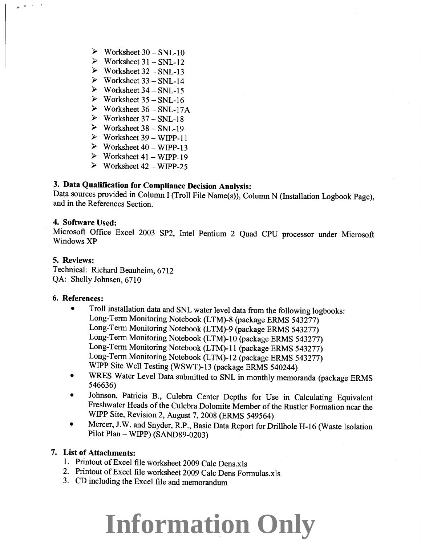- $\triangleright$  Worksheet 30 SNL-10
- $\triangleright$  Worksheet 31 SNL-12
- $\triangleright$  Worksheet 32 SNL-13
- $\triangleright$  Worksheet 33 SNL-14
- $\triangleright$  Worksheet 34 SNL-15
- $\triangleright$  Worksheet 35 SNL-16
- $\triangleright$  Worksheet 36 SNL-17A
- $\triangleright$  Worksheet 37 SNL-18
- $\triangleright$  Worksheet 38 SNL-19
- $\triangleright$  Worksheet 39 WIPP-11
- $\triangleright$  Worksheet 40 WIPP-13
- $\blacktriangleright$  Worksheet 41 WIPP-19
- $\blacktriangleright$  Worksheet 42 WIPP-25

### **3. Data Qualification for Compliance Decision Analysis:**

Data sources provided in Column I (Troll File Name(s)), Column N (Installation Logbook Page), and in the References Section.

#### **4. Software Used:**

Microsoft Office Excel 2003 SP2, Intel Pentium 2 Quad CPU processor under Microsoft WindowsXP

#### **5. Reviews:**

*J.-* • • l

Technical: Richard Beauheim, 6712 QA: Shelly Johnsen, 6710

### **6. References:**

- Troll installation data and SNL water level data from the following logbooks: Long-Term Monitoring Notebook (LTM)-8 (package ERMS 543277) Long-Term Monitoring Notebook (LTM)-9 (package ERMS 543277) Long-Term Monitoring Notebook (LTM)-1 0 (package ERMS 543277) Long-Term Monitoring Notebook (LTM)-11 (package ERMS 543277) Long-Term Monitoring Notebook (LTM)-12 (package ERMS 543277) WIPP Site Well Testing (WSWT)-13 (package ERMS 540244)
- WRES Water Level Data submitted to SNL in monthly memoranda (package ERMS 546636)
- Johnson, Patricia B., Culebra Center Depths for Use in Calculating Equivalent Freshwater Heads of the Culebra Dolomite Member of the Rustler Formation near the WIPP Site, Revision 2, August 7, 2008 (ERMS 549564)
- Mercer, J.W. and Snyder, R.P., Basic Data Report for Drillhole H-16 (Waste Isolation Pilot Plan- WIPP) (SAND89-0203)

#### **7. List of Attachments:**

- 1. Printout of Excel file worksheet 2009 Calc Dens.xls
- 2. Printout of Excel file worksheet 2009 Calc Dens Formulas.xls
- 3. CD including the Excel file and memorandum

### **Information Only**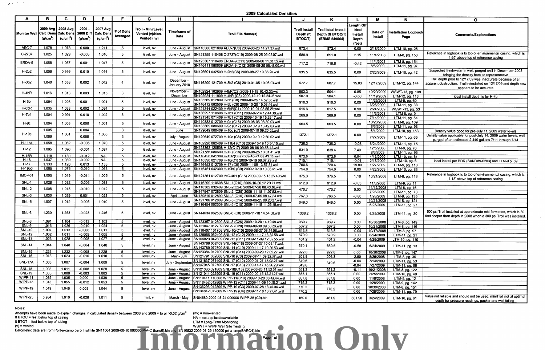**,I** • '

Attempts have been made to explain changes in calculated density between 2008 and 2009 = to or >0.02 g/cm<sup>3</sup> (nv) = non-vented<br>ft BTOC = feet below top of casing

ft BTOT = feet below top of tubing  $(v)$  = vented

**2009 Calculated Densities** 

| Monitor Well Calc Dens Calc Dens | (g/cm <sup>3</sup> ) | 2009 Avg   2008 Avg<br>$(g/cm^3)$ | 2009<br><b>2008 Diff</b><br>(g/cm <sup>3</sup> ) | 2007 Avg<br><b>Calc Den</b><br>(g/cm <sup>3</sup> ) | # of Dens<br>Averaged         | Troll - Mini/Level.<br>Vented (v)/Non-<br>Vented (nv) | Timeframe of<br><b>Data</b>    | <b>Troll File Name(s)</b>                                                                                                                | Troll Install<br>Depth (ft<br>BTOC/T) | <b>Troll Ideal Install</b><br>Depth (ft BTOC/T)<br>(ERMS 549564) | Length Off<br>Ideal<br>Install<br><b>Depth</b><br>(feet) | Date of<br><b>Install</b> | Installation Logbook<br>Page           | <b>Comments/Explanations</b>                                                                                                                              |
|----------------------------------|----------------------|-----------------------------------|--------------------------------------------------|-----------------------------------------------------|-------------------------------|-------------------------------------------------------|--------------------------------|------------------------------------------------------------------------------------------------------------------------------------------|---------------------------------------|------------------------------------------------------------------|----------------------------------------------------------|---------------------------|----------------------------------------|-----------------------------------------------------------------------------------------------------------------------------------------------------------|
| AEC-7                            | 1.078                | 1.078                             | 0.000                                            | 1.211                                               | -5                            | level, nv                                             |                                | June - August SN116300 021809 AEC-7(C8) 2009-08-26 14.27.33.wsl                                                                          | 872.4                                 | 872.4                                                            | 0.00                                                     | 2/18/2009                 | LTM-10, pg. 26                         |                                                                                                                                                           |
| C-2737                           | 1.025                | 1.029                             | $-0.005$                                         | 1.010                                               | -5                            | level, nv                                             | June - August                  | SN121359 110408 C-2737(C19) 2009-08-25 09.03.07.wsl                                                                                      | 688.9                                 | 691.0                                                            | 2.15                                                     | 11/4/2008                 | LTM-8, pg. 153                         | Reference in logbook is to top of environmental casing, which is<br>1.65' above top of reference casing                                                   |
| ERDA-9                           | 1.068                | 1.067                             | 0.001                                            | 1.047                                               | 5                             | level, nv                                             | June - August                  | SN123367 110408 ERDA-9(C11) 2009-08-06 11.30.52.wsl<br>SN146411 080609 ERDA-9 (C12) 2009-08-25 08.48.00.wsl                              | 717.2                                 | 716.8                                                            | $-0.42$                                                  | 11/4/2008<br>8/6/2009     | LTM-8, pg. 154<br>LTM-11, pg. 97       |                                                                                                                                                           |
| H-2b2                            | 1.009                | 0.999                             | 0.010                                            | 1.014                                               | -5                            | level, nv                                             | June - August                  | SN126691 032509 H-2b2(C6) 2009-08-27 10.36.20.wsl                                                                                        | 635.5                                 | 635.5                                                            | 0.00                                                     | 2/26/2009                 | LTM-10, pg. 42                         | Suspected freshwater in well, purged well in December 2008<br>bringing the density back to representative                                                 |
| $H-3b2$                          | 1.040                | 1.038                             | 0.002                                            | 1.042                                               | 4                             | level, nv                                             | December -<br>January 2010     | SN116299 121709 H-3b2 (C8) 2010-01-05 10.06.03.wsl                                                                                       | 672.7                                 | 687.7                                                            | 15.03                                                    | 12/17/2009                | LTM-12, pg. 144                        | Troll depth prior to 12/17/09 was inaccurate because of an<br>apparent obstruction. Troll reinstalled on 12/17/09 and depth now<br>appears to be accurate |
| H-4bR                            | 1.016                | 1.013                             | 0.003                                            | 1.015                                               | 3                             | level, nv                                             | November -<br>December         | SN102924 102909 H4bR(C2) 2009-11-19 10.43.33.wsl<br>SN102924 111909 H-4bR (C3) 2009-12-10 12.24.35.wsl                                   | 503.3<br>507.9                        | 504.1<br>504.1                                                   | 0.85<br>$-3.80$                                          | 10/29/2009<br>11/19/2009  | WSWT-13, pg. 108<br>$LTM-12$ , pg. 113 | ideal install depth is for H-4b                                                                                                                           |
| H-5b                             | 1.094                | 1.093                             | 0.001                                            | 1.091                                               | -5                            | level, nv                                             | June - August                  | SN133569 012809 H-5b (C8) 2009-06-25 14.52.36.wsl<br>SN146412 062509 H-5b (C9) 2009-10-20 15.03.46.wsl                                   | 910.3                                 | 910.3                                                            | 0.00                                                     | 11/25/2008<br>6/25/2009   | LTM-9, pg. 60<br>LTM-11, pg. 33        |                                                                                                                                                           |
| $H-6bR$                          | 1.035                | 1.033                             | 0.002                                            | 1.034                                               | -5                            | level, nv                                             | June - August                  | SN121344 022409 H-6bR(C1) 2009-10-01 08.55.29.wsl                                                                                        | 616.6                                 | 617.5                                                            | 0.90                                                     | 2/24/2009                 | WSWT-13, pg. 53                        |                                                                                                                                                           |
| $H-7b1$                          | 1.004                | 0.994                             | 0.010                                            | 1.002                                               | 5                             | level, nv                                             | June - August                  | SN136297 110608 H-7b1 (C11) 2009-07-14 12.44.38.wsl                                                                                      | 269.9                                 | 269.9                                                            |                                                          | 11/6/2008                 | LTM-8, pg. 9                           |                                                                                                                                                           |
|                                  |                      |                                   |                                                  |                                                     |                               |                                                       |                                | SN121345 071409 H-7b1 (C12) 2009-10-19 15.26.17.wsl                                                                                      |                                       |                                                                  | 0.00                                                     | 7/14/2009                 | LTM-11, pg. 54                         |                                                                                                                                                           |
| $H-9c$                           | 1.004                | 1.003                             | 0.000                                            | 1.001                                               | -5.                           | level, nv                                             | June - Augus                   | SN110383 012709 H-9c (C16) 2009-08-06 08.30.08.wsl<br>SN133569 080609 H-9c (C17) 2009-10-19 13.42.08.wsl                                 | 663.5                                 | 663.5                                                            | 0.00                                                     | 10/20/2008<br>8/6/2009    | LTM-8, pg. 109<br>LTM-11, pg. 93       |                                                                                                                                                           |
|                                  | 1.005                |                                   | 0.004                                            |                                                     | $\mathbf{3}$                  | level, nv                                             | June                           | SN129649 060409 H-10c (c7) 2009-07-10 09.20.52.wsl                                                                                       |                                       |                                                                  |                                                          | 6/4/2009                  | LTM-10, pg. 153                        | Density value good for pre-July 11, 2009 water levels                                                                                                     |
| H-10c                            | 1.089                | 1.001                             | 0.088                                            | 1.008                                               | $\mathbf{3}$                  | level, nv                                             | July - August                  | SN129649 072709 H-10c (C8) 2009-10-19 12.50.02.wsl                                                                                       | 1372.1                                | 1372.1                                                           | 0.00                                                     | 7/27/2009                 | LTM-11, pg. 65                         | Density value applicable for post-July 14, 2009 water levels, well<br>purged of an estimated 2,440 gallons 7/11 through 7/14                              |
| H-11b4                           | 1.058                | 1.062                             | $-0.005$                                         | 1.070                                               | -5                            | level, nv                                             |                                | June - August   SN102920 062409 H-11b4 (C10) 2009-10-19 10.54.15.wsl                                                                     | 736.3                                 | 736.2                                                            | $-0.08$                                                  | 6/24/2009                 | LTM-11, pg. 15                         |                                                                                                                                                           |
| $H-12$                           | 1.095                | 1.096                             | $-0.001$                                         | 1.097                                               | 5                             | level, nv                                             | June - August                  | SN123363 120508 H-12(C17) 2009-08-06 09.58.43.wsl<br>SN121786 080609 H-12 (C18) 2009-08-25 13.01.41.wsl                                  | 831.0                                 | 838.4                                                            | 7.40                                                     | 12/5/2008<br>8/6/2009     | LTM-9, pg. 70<br>LTM-11, pg. 95        |                                                                                                                                                           |
| <b>H-15R</b>                     | 1.118                | 1.130                             | $-0.012$                                         | <b>NA</b>                                           | -5                            | level, nv                                             | June - August                  | SN116450 041309 H-15R(C6) 2009-10-21 08.43.13.wsl                                                                                        | 872.5                                 | 872.5                                                            | 0.04                                                     | 4/13/2009                 | LTM-10, pg. 81                         |                                                                                                                                                           |
| $H-16$                           | 1.037                | 1.039                             | $-0.002$                                         | <b>NA</b>                                           | $5^{\circ}$                   | level, nv                                             |                                | June - August SN110390 021709 H-16(C1) 2009-10-19 08.07.29.wsl                                                                           | 715.1                                 | 715.1                                                            | $-0.01$                                                  | 2/17/2009                 | LTM-10, pg. 6                          | Ideal install per BDR (SAND89-0203) and LTM-9 p. 69                                                                                                       |
| $H-17$                           | 1.133                | 1.120                             | 0.013                                            | 1.133                                               | $5^{\circ}$                   | level, nv                                             |                                | June - August SN116453 012709 H-17 (C5) 2009-11-09 13.57.54.wsl                                                                          | 700.6                                 | 720.4                                                            | 19.80                                                    | 1/27/2009                 | LTM-9, pg. 118                         |                                                                                                                                                           |
| H-19b0                           | 1.065                | 1.075                             | $-0.010$                                         | 1.068                                               | -5                            | level, nv                                             |                                | June - August SN116451 042309 H-19b0 (C9) 2009-10-19 10.06.41.wsl                                                                        | 754.0                                 | 754.0                                                            | 0.00                                                     | 4/23/2009                 | LTM-10, pg. 83                         |                                                                                                                                                           |
| <b>IMC-461</b>                   | 1.005                | 1.019                             | $-0.014$                                         | 1.005                                               | $5^{\circ}$                   | level, nv                                             | June - August                  | SN121361 012709 IMC-461 (C16) 2009-09-15 13.26.40.wsl                                                                                    | 375.3                                 | 376.5                                                            | 1.18                                                     | 10/21/2008                | LTM-8, pg. 118                         | Reference in logbook is to top of environmental casing, which is<br>1.18' above top of reference casing                                                   |
| <b>SNL-1</b>                     | 1.028                | 1.032                             | $-0.005$                                         | 1.033                                               | $5^{\circ}$                   | level, nv                                             | June - August                  | SN116299 110608 SNL-1(C16) 2009-10-20 12.29.21.wsl                                                                                       | 612.9                                 | 612.9                                                            | $-0.03$                                                  | 11/6/2008                 | LTM-9, pg. 11                          |                                                                                                                                                           |
| SNL-2                            | 1.006                | 1.015                             | $-0.010$                                         | 1.012                                               | $5^{\circ}$                   | level, nv                                             | June - August                  | SN110382 032409 SNL-2(C24) 2009-07-28 08.43.06.wsl                                                                                       | 470.7                                 | 470.7                                                            | 0.00                                                     | 11/12/2008                | LTM-8, pg. 16                          |                                                                                                                                                           |
| $SNL-3$                          | 1.030                |                                   |                                                  |                                                     |                               |                                                       |                                | SN147947 072809 SNL-2 (C25) 2009-11-18 11.07.53.wsl                                                                                      |                                       |                                                                  |                                                          | 7/28/2009                 | LTM-11, pg. 73                         |                                                                                                                                                           |
|                                  |                      | 1.029                             | 0.001                                            | 1.023                                               | -5                            | level, nv                                             | April - June                   | SN139810 012809 SNL-3 (C10) 2009-07-09 08.47.24.wsl                                                                                      | 767.3                                 | 766.5                                                            | $-0.80$                                                  | 1/28/2009                 | LTM-9, pg. 135                         |                                                                                                                                                           |
| <b>SNL-5</b>                     | 1.007                | 1.012                             | $-0.005$                                         | 1.010                                               | 5                             | level, nv                                             | June - August                  | SN121786 012809 SNL-5 (C14) 2009-06-25 09.20.27.wsl<br>SN116454 062509 SNL-5 (C15) 2009-11-18 11.26.18.wsl                               | 649.0                                 | 649.0                                                            | 0.00                                                     | 10/21/2008<br>6/25/2009   | LTM-8, pg. 124<br>LTM-11, pg. 27       |                                                                                                                                                           |
| SNL-6                            | 1.230                | 1.253                             | $-0.023$                                         | 1.246                                               | 5                             | level, nv                                             |                                | June - August SN144634 062509 SNL-6 (C8) 2009-11-18 14.54.08.wsl                                                                         | 1338.2                                | 1338.2                                                           | 0.00                                                     | 6/25/2009                 | LTM-11, pg. 30                         | 500 psi Troll installed at approximate mid-formation, which is 30<br>feet deeper than depth in 2008 when a 300 psi Troll was installed.                   |
| SNL-8                            | 1.091                | 1.104                             | $-0.013$                                         | 1.103                                               | 5                             | level, nv                                             |                                | June - August SN123357 012809 SNL-8 (C26) 2009-10-20 14.19.48.wsl                                                                        | 969.7                                 | 969.7                                                            | 0.00                                                     | 10/30/2008                | LTM-8, pg. 149                         |                                                                                                                                                           |
| SNL-9                            | 1.016                | 1.026                             | $-0.010$                                         | 1.024                                               | 5                             | level, nv                                             |                                | June - August SN121047 012709 SNL-9 (C20) 2009-09-30 09.38.26.wsl                                                                        | 567.2                                 | 567.2                                                            | 0.00                                                     | 10/21/2008                | LTM-8, pg. 116                         |                                                                                                                                                           |
| <b>SNL-10</b><br><b>SNL-12</b>   | 1.007<br>1.002       | 1.013<br>1.011                    | $-0.006$<br>$-0.009$                             | 1.011<br>1.005                                      | $5^{\circ}$<br>5 <sub>5</sub> | level, nv<br>level, nv                                |                                | June - August SN110407 101708 SNL-10(C10) 2009-08-27 08.14.08.wsl                                                                        | 613.5                                 | 613.5                                                            | $-0.04$                                                  | 10/17/2008                | LTM-8, pg. 97                          |                                                                                                                                                           |
| <b>SNL-13</b>                    | 1.023                | 1.028                             | $-0.005$                                         | 1.027                                               | 5 <sub>5</sub>                | level, nv                                             |                                | June - August SN129856 062409 SNL-12 (C12) 2009-11-17 13.35.56.wsl<br>June - August SN106823 042809 SNL-13 (C11) 2009-11-09 12.35.55.wsl | 570.9<br>401.2                        | 570.9<br>401.2                                                   | 0.00<br>$-0.04$                                          | 6/24/2009                 | $LTM-11, pg. 21$                       |                                                                                                                                                           |
|                                  |                      |                                   |                                                  |                                                     |                               |                                                       |                                | SN143789 062409 SNL-14(C18) 2009-07-27 10.08.17.wsl,                                                                                     |                                       |                                                                  |                                                          | 4/28/2009                 | LTM-10, pg. 110                        |                                                                                                                                                           |
| <b>SNL-14</b><br><b>SNL-15</b>   | 1.044<br>1.223       | 1.048<br>1.232                    | $-0.004$<br>$-0.008$                             | 1.048<br>1.228                                      | 5.<br>5                       | level, nv<br>level, nv                                | June - August<br>June - August | SN143789 072709 SNL-14 (C19) 2009-11-17 10.26.53.wsl                                                                                     | 670.1                                 | 669.5                                                            | $-0.58$                                                  | 6/24/2009                 | LTM-11, pg. 13                         |                                                                                                                                                           |
| <b>SNL-16</b>                    | 1.013                | 1.023                             | $-0.010$                                         | 1.010                                               | -5                            | level, nv                                             | May - July                     | SN123384 012709 SNL-15 (C14) 2009-09-29 12.02.27.wsl<br>SN121791 082608 SNL-16 (C6) 2009-07-14 09.32.37.wsl                              | 922.8<br>208.8                        | 922.8                                                            | 0.00                                                     | 10/30/2008                | LTM-8, pg. 147                         |                                                                                                                                                           |
|                                  |                      |                                   |                                                  |                                                     |                               |                                                       |                                | SN131837 071409 SNL-17 (C12) 2009-07-27 15.08.27.wsl                                                                                     | 349.6                                 | 206.3                                                            | $-2.50$<br>$-0.04$                                       | 8/26/2008<br>7/14/2009    | LTM-8, pg. 36<br>LTM-11, pg. 53        |                                                                                                                                                           |
| SNL-17A                          | 1.003                | 1.007                             | $-0.004$                                         | 1.006                                               | 5 <sub>1</sub>                | level, nv                                             | July - September               | SN147945 072709 SNL-17 (C13) 2009-11-17 15.28.29.wsl                                                                                     | 349.6                                 | 349.6                                                            | $-0.04$                                                  | 7/27/2009                 | LTM-11, pg. 68                         |                                                                                                                                                           |
| <b>SNL-18</b>                    | 1.003                | 1.011                             | $-0.008$                                         | 1.028                                               | -5                            | level, nv                                             | June - August                  | SN121360 021809 SNL-18(C13) 2009-08-26 11.52.51.wsl                                                                                      | 551.3                                 | 551.2                                                            | $-0.11$                                                  | 10/21/2008                | LTM-8, pg. 122                         |                                                                                                                                                           |
| <b>SNL-19</b>                    | 1.005                | 1.008                             | $-0.003$                                         | 1.003                                               | $5^{\circ}$                   | level, nv                                             |                                | June - August   SN121044 022509 SNL-19 (C11) 2009-09-15 12.21.27.wsl                                                                     | 355.1                                 | 355.1                                                            | 0.00                                                     | 2/25/2009                 | LTM-10, pg. 40                         |                                                                                                                                                           |
| WIPP-11                          | 1.035                | 1.035                             | 0.000                                            | 1.038                                               | 5 <sub>1</sub>                | level, nv                                             |                                | June - August SN110411 110608 WIPP-11(C19) 2009-10-28 08.49.44.wsl                                                                       | 857.8                                 | 857.8                                                            | 0.00                                                     | 11/6/2008                 | $LTM-9$ , pg. 12                       |                                                                                                                                                           |
| WIPP-13                          | 1.043                | 1.055                             | $-0.012$                                         | 1.053                                               | 5 <sub>5</sub>                | level, nv                                             | June - August                  | SN116452 012809 WIPP-13 (C11) 2009-11-09 10.26.21.wsl                                                                                    | 715.3                                 | 715.3                                                            | 0.00                                                     | 1/28/2009                 | LTM-9, pg. 142                         |                                                                                                                                                           |
| WIPP-19                          | 1.049                | 1.046                             | 0.003                                            | 1.044                                               | 5                             | level, nv                                             | June - August                  | SN136296 012809 WIPP-19 (C3) 2009-07-28 13.46.04.wsl<br>SN134842 072809 WIPP-19 (C4) 2009-11-18 16.27.41.wsl                             | 770.2<br>770.2                        | 770.2                                                            | 0.00<br>0.00                                             | 10/30/2008<br>7/28/2009   | LTM-8, pg. 151<br>LTM-11, pg. 79       |                                                                                                                                                           |

| A                               |                                   | <b>C</b>             | Ð                            | Е.                                                      |                       | G                                                     | н                           |                                                                                                                         |                                             |                                                                  |                                                          | M                        | N                                   | $\mathbf{o}$                                                                                                                                              |
|---------------------------------|-----------------------------------|----------------------|------------------------------|---------------------------------------------------------|-----------------------|-------------------------------------------------------|-----------------------------|-------------------------------------------------------------------------------------------------------------------------|---------------------------------------------|------------------------------------------------------------------|----------------------------------------------------------|--------------------------|-------------------------------------|-----------------------------------------------------------------------------------------------------------------------------------------------------------|
| onitor Well Calc Dens Calc Dens | 2009 Avg   2008 Avg<br>$(a/cm^3)$ | (g/cm <sup>3</sup> ) | 2009<br>(g/cm <sup>3</sup> ) | 2007 Avg<br>2008 Diff Calc Dens<br>(g/cm <sup>3</sup> ) | # of Dens<br>Averaged | Troll - Mini/Level.<br>Vented (v)/Non-<br>Vented (nv) | Timeframe of<br><b>Data</b> | <b>Troll File Name(s)</b>                                                                                               | <b>Troll Install</b><br>Depth (ft<br>ВТОСЛ) | <b>Troll Ideal Install</b><br>Depth (ft BTOC/T)<br>(ERMS 549564) | Length Off<br>Ideal<br>Install<br><b>Depth</b><br>(feet) | Date of<br>Install       | <b>Installation Logbook</b><br>Page | <b>Comments/Explanations</b>                                                                                                                              |
| AEC-7                           | 1.078                             | 1.078                | 0.000                        | 1.211                                                   | -5                    | level, nv                                             | June - August               | SN116300 021809 AEC-7(C8) 2009-08-26 14.27.33.wsl                                                                       | 872.4                                       | 872.4                                                            | 0.00                                                     | 2/18/2009                | LTM-10, pg. 26                      |                                                                                                                                                           |
| $C-2737$                        | 1.025                             | 1.029                | $-0.005$                     | 1.010                                                   | 5.                    | level, nv                                             | June - August               | SN121359 110408 C-2737(C19) 2009-08-25 09.03.07.wsl                                                                     | 688.9                                       | 691.0                                                            | 2.15                                                     | 11/4/2008                | LTM-8, pg. 153                      | Reference in logbook is to top of environmental casing, which is<br>1.65' above top of reference casing                                                   |
| ERDA-9                          | 1.068                             | 1.067                | 0.001                        | 1.047                                                   | 5.                    | level, nv                                             | June - August               | SN123367 110408 ERDA-9(C11) 2009-08-06 11.30.52.wsl<br>SN146411 080609 ERDA-9 (C12) 2009-08-25 08.48.00.wsl             | 717.2                                       | 716.8                                                            | $-0.42$                                                  | 11/4/2008<br>8/6/2009    | LTM-8, pg. 154<br>LTM-11, pg. 97    |                                                                                                                                                           |
| $H-2b2$                         | 1.009                             | 0.999                | 0.010                        | 1.014                                                   | 5                     | level, nv                                             | June - August               | SN126691 032509 H-2b2(C6) 2009-08-27 10.36.20.wsl                                                                       | 635.5                                       | 635.5                                                            | 0.00                                                     | 2/26/2009                | LTM-10, pg. 42                      | Suspected freshwater in well, purged well in December 2008<br>bringing the density back to representative                                                 |
| $H-3b2$                         | 1.040                             | 1.038                | 0.002                        | 1.042                                                   |                       | level, nv                                             | December -<br>January 2010  | SN116299 121709 H-3b2 (C8) 2010-01-05 10.06.03.wsl                                                                      | 672.7                                       | 687.7                                                            | 15.03                                                    | 12/17/2009               | LTM-12, pg. 144                     | Troll depth prior to 12/17/09 was inaccurate because of an<br>apparent obstruction. Troll reinstalled on 12/17/09 and depth now<br>appears to be accurate |
| H-4bR                           | 1.016                             | 1.013                | 0.003                        | 1.015                                                   | 3                     | level, nv                                             | November<br>December        | SN102924 102909 H4bR(C2) 2009-11-19 10.43.33.wsl<br>SN102924 111909 H-4bR (C3) 2009-12-10 12.24.35.wsl                  | 503.3<br>507.9                              | 504.1<br>504.1                                                   | 0.85<br>$-3.80$                                          | 10/29/2009<br>11/19/2009 | WSWT-13, pg. 108<br>LTM-12, pg. 113 | ideal install depth is for H-4b                                                                                                                           |
| H-5b                            | 1.094                             | 1.093                | 0.001                        | 1.091                                                   | 5.                    | level, nv                                             | June - August               | SN133569 012809 H-5b (C8) 2009-06-25 14.52.36.wsl                                                                       |                                             |                                                                  |                                                          | 11/25/2008               | LTM-9, pg. 60                       |                                                                                                                                                           |
|                                 |                                   |                      |                              |                                                         |                       |                                                       |                             | SN146412 062509 H-5b (C9) 2009-10-20 15.03.46.wsl                                                                       | 910.3                                       | 910.3                                                            | 0.00                                                     | 6/25/2009                | LTM-11, pg. 33                      |                                                                                                                                                           |
| $H$ -6bR                        | 1.035                             | 1.033                | 0.002                        | 1.034                                                   | -5                    | level, nv                                             | June - August               | SN121344 022409 H-6bR(C1) 2009-10-01 08.55.29.wsl                                                                       | 616.6                                       | 617.5                                                            | 0.90                                                     | 2/24/2009                | WSWT-13, pg. 53                     |                                                                                                                                                           |
| H-7b1                           | 1.004                             | 0.994                | 0.010                        | 1.002                                                   | 5                     | level, nv                                             | June - August               | SN136297 110608 H-7b1 (C11) 2009-07-14 12.44.38.wsl                                                                     | 269.9                                       | 269.9                                                            | 0.00                                                     | 11/6/2008                | $LTM-8, pg.9$                       |                                                                                                                                                           |
|                                 |                                   |                      |                              |                                                         |                       |                                                       |                             | SN121345 071409 H-7b1 (C12) 2009-10-19 15.26.17.wsl                                                                     |                                             |                                                                  |                                                          | 7/14/2009                | LTM-11, pg. 54                      |                                                                                                                                                           |
| $H-9c$                          | 1.004                             | 1.003                | 0.000                        | 1.001                                                   | 5.                    | level, nv                                             | June - August               | SN110383 012709 H-9c (C16) 2009-08-06 08.30.08.wsl<br>SN133569 080609 H-9c (C17) 2009-10-19 13.42.08.wsl                | 663.5                                       | 663.5                                                            | 0.00                                                     | 10/20/2008<br>8/6/2009   | LTM-8, pg. 109<br>LTM-11, pg. 93    |                                                                                                                                                           |
|                                 | 1.005                             |                      | 0.004                        |                                                         | $\mathbf{3}$          | level, nv                                             | June                        | SN129649 060409 H-10c (c7) 2009-07-10 09.20.52.wsl                                                                      |                                             |                                                                  |                                                          | 6/4/2009                 | LTM-10, pg. 153                     | Density value good for pre-July 11, 2009 water levels                                                                                                     |
| H-10c                           | 1.089                             | 1.001                | 0.088                        | 1.008                                                   | 3                     | level, nv                                             | July - August               | SN129649 072709 H-10c (C8) 2009-10-19 12.50.02.wsl                                                                      | 1372.1                                      | 1372.1                                                           | 0.00                                                     | 7/27/2009                | LTM-11, pg. 65                      | Density value applicable for post-July 14, 2009 water levels, well<br>purged of an estimated 2,440 gallons 7/11 through 7/14                              |
| H-11b4                          | 1.058                             | 1.062                | $-0.005$                     | 1.070                                                   | -5                    | level, nv                                             | June - August               | SN102920 062409 H-11b4 (C10) 2009-10-19 10.54.15.wsl                                                                    | 736.3                                       | 736.2                                                            | $-0.08$                                                  | 6/24/2009                | LTM-11, pg. 15                      |                                                                                                                                                           |
| H-12                            | 1.095                             | 1.096                | $-0.001$                     | 1.097                                                   | 5.                    | level, nv                                             | June - August               | SN123363 120508 H-12(C17) 2009-08-06 09.58.43.wsl                                                                       | 831.0                                       | 838.4                                                            | 7.40                                                     | 12/5/2008                | LTM-9, pg. 70                       |                                                                                                                                                           |
|                                 |                                   |                      |                              |                                                         |                       |                                                       |                             | SN121786 080609 H-12 (C18) 2009-08-25 13.01.41.wsl                                                                      |                                             |                                                                  |                                                          | 8/6/2009                 | $LTM-11$ , pg. 95                   |                                                                                                                                                           |
| <b>H-15R</b>                    | 1.118                             | 1.130                | $-0.012$                     | <b>NA</b>                                               | $5^{\circ}$           | level, nv                                             | June - August               | SN116450 041309 H-15R(C6) 2009-10-21 08.43.13.wsl                                                                       | 872.5                                       | 872.5                                                            | 0.04                                                     | 4/13/2009                | LTM-10, pg. 81                      |                                                                                                                                                           |
| $H-16$                          | 1.037                             | 1.039                | $-0.002$                     | <b>NA</b>                                               | 5                     | level, nv                                             | June - August               | SN110390 021709 H-16(C1) 2009-10-19 08.07.29.wsl                                                                        | 715.1                                       | 715.1                                                            | $-0.0o$                                                  | 2/17/2009                | LTM-10, pg. 6                       | Ideal install per BDR (SAND89-0203) and LTM-9 p. 69                                                                                                       |
| H-17                            | 1.133                             | 1.120                | 0.013                        | 1.133                                                   | -5                    | level, nv                                             |                             | June - August SN116453 012709 H-17 (C5) 2009-11-09 13.57.54.wsl                                                         | 700.6                                       | 720.4                                                            | 19.80                                                    | 1/27/2009                | LTM-9, pg. 118                      |                                                                                                                                                           |
| H-19b0                          | 1.065                             | 1.075                | $-0.010$                     | 1.068                                                   | 5                     | level, nv                                             |                             | June - August SN116451 042309 H-19b0 (C9) 2009-10-19 10.06.41.wsl                                                       | 754.0                                       | 754.0                                                            | 0.00                                                     | 4/23/2009                | LTM-10, pg. 83                      |                                                                                                                                                           |
| <b>IMC-461</b>                  | 1.005                             | 1.019                | $-0.014$                     | 1.005                                                   | 5                     | level, nv                                             | June - August               | SN121361 012709 IMC-461 (C16) 2009-09-15 13.26.40.wsl                                                                   | 375.3                                       | 376.5                                                            | 1.18                                                     | 10/21/2008               | LTM-8, pg. 118                      | Reference in logbook is to top of environmental casing, which is<br>1.18' above top of reference casing                                                   |
| SNL-1                           | 1.028                             | 1.032                | $-0.005$                     | 1.033                                                   | 5                     | level, nv                                             | June - August               | SN116299 110608 SNL-1(C16) 2009-10-20 12.29.21.wsl                                                                      | 612.9                                       | 612.9                                                            | $-0.03$                                                  | 11/6/2008                | LTM-9, pg. 11                       |                                                                                                                                                           |
| SNL-2                           | 1.006                             | 1.015                | $-0.010$                     | 1.012                                                   | 5                     | level, nv                                             | June - August               | SN110382 032409 SNL-2(C24) 2009-07-28 08.43.06.wsl                                                                      | 470.7                                       | 470.7                                                            | 0.00                                                     | 11/12/2008               | LTM-8, pg. 16                       |                                                                                                                                                           |
|                                 |                                   |                      |                              |                                                         |                       |                                                       |                             | SN147947 072809 SNL-2 (C25) 2009-11-18 11.07.53.wsl                                                                     |                                             |                                                                  |                                                          | 7/28/2009                | LTM-11, pg. 73                      |                                                                                                                                                           |
| SNL-3                           | 1.030                             | 1.029                | 0.001                        | 1.023                                                   | $5^{\circ}$           | level, nv                                             | April - June                | SN139810 012809 SNL-3 (C10) 2009-07-09 08.47.24.wsl                                                                     | 767.3                                       | 766.5                                                            | $-0.80$                                                  | 1/28/2009                | LTM-9, pg. 135                      |                                                                                                                                                           |
| SNL-5                           | 1.007                             | 1.012                | $-0.005$                     | 1.010                                                   | 5.                    | level, nv                                             | June - August               | SN121786 012809 SNL-5 (C14) 2009-06-25 09.20.27.wsl                                                                     | 649.0                                       | 649.0                                                            | 0.00                                                     | 10/21/2008               | LTM-8, pg. 124                      |                                                                                                                                                           |
| SNL-6                           | 1.230                             | 1.253                | $-0.023$                     | 1.246                                                   |                       | level, nv                                             |                             | SN116454 062509 SNL-5 (C15) 2009-11-18 11.26.18.wsl<br>June - August SN144634 062509 SNL-6 (C8) 2009-11-18 14.54.08.wsl | 1338.2                                      | 1338.2                                                           | 0.00                                                     | 6/25/2009<br>6/25/2009   | LTM-11, pg. 27<br>LTM-11, pg. 30    | 500 psi Troll installed at approximate mid-formation, which is 30                                                                                         |
| $SNL-8$                         | 1.091                             | 1.104                | $-0.013$                     | 1.103                                                   | 5 <sub>5</sub>        | level, nv                                             |                             | June - August SN123357 012809 SNL-8 (C26) 2009-10-20 14.19.48.wsl                                                       |                                             |                                                                  |                                                          |                          |                                     | feet deeper than depth in 2008 when a 300 psi Troll was installed.                                                                                        |
| $SNL-9$                         | 1.016                             | 1.026                | $-0.010$                     | 1.024                                                   | 5 <sub>1</sub>        | level, nv                                             |                             | June - August SN121047 012709 SNL-9 (C20) 2009-09-30 09.38.26.wsl                                                       | 969.7<br>567.2                              | 969.7<br>567.2                                                   | 0.00<br>0.00                                             | 10/30/2008<br>10/21/2008 | LTM-8, pg. 149                      |                                                                                                                                                           |
| <b>SNL-10</b>                   | 1.007                             | 1.013                | $-0.006$                     | 1.011                                                   | 5 <sup>5</sup>        | level, nv                                             |                             | June - August SN110407 101708 SNL-10(C10) 2009-08-27 08.14.08.wsl                                                       | 613.5                                       | 613.5                                                            | $-0.04$                                                  | 10/17/2008               | LTM-8, pg. 116<br>LTM-8, pg. 97     |                                                                                                                                                           |
| <b>SNL-12</b>                   | 1.002                             | 1.011                | $-0.009$                     | 1.005                                                   | 5 <sup>1</sup>        | level, nv                                             |                             | June - August SN129856 062409 SNL-12 (C12) 2009-11-17 13.35.56.wsl                                                      | 570.9                                       | 570.9                                                            | 0.00                                                     | 6/24/2009                | LTM-11, pg. 21                      |                                                                                                                                                           |
| <b>SNL-13</b>                   | 1.023                             | 1.028                | $-0.005$                     | 1.027                                                   | 5 <sub>5</sub>        | level, nv                                             |                             | June - August SN106823 042809 SNL-13 (C11) 2009-11-09 12.35.55.wsl                                                      | 401.2                                       | 401.2                                                            | $-0.04$                                                  | 4/28/2009                | LTM-10, pg. 110                     |                                                                                                                                                           |
| <b>SNL-14</b>                   | 1.044                             | 1.048                | $-0.004$                     | 1.048                                                   | 5                     | level, nv                                             | June - August               | SN143789 062409 SNL-14(C18) 2009-07-27 10.08.17.wsl,<br>SN143789 072709 SNL-14 (C19) 2009-11-17 10.26.53.wsl            | 670.1                                       | 669.5                                                            | $-0.58$                                                  | 6/24/2009                | LTM-11, pg. 13                      |                                                                                                                                                           |
| <b>SNL-15</b>                   | 1.223                             | 1.232                | $-0.008$                     | 1.228                                                   | $5^{\circ}$           | level, nv                                             |                             | June - August SN123384 012709 SNL-15 (C14) 2009-09-29 12.02.27.wsl                                                      | 922.8                                       | 922.8                                                            | 0.00                                                     | 10/30/2008               | LTM-8, pg. 147                      |                                                                                                                                                           |
| <b>SNL-16</b>                   | 1.013                             | 1.023                | $-0.010$                     | 1.010                                                   | -5.                   | level, nv                                             | May - July                  | SN121791 082608 SNL-16 (C6) 2009-07-14 09.32.37.wsl                                                                     | 208.8                                       | 206.3                                                            | $-2.50$                                                  | 8/26/2008                | LTM-8, pg. 36                       |                                                                                                                                                           |
| SNL-17A                         | 1.003                             | 1.007                | $-0.004$                     | 1.006                                                   | 5 <sup>1</sup>        | level, nv                                             | July - September            | SN131837 071409 SNL-17 (C12) 2009-07-27 15.08.27.wsl<br>SN147945 072709 SNL-17 (C13) 2009-11-17 15.28.29.wsl            | 349.6<br>349.6                              | 349.6                                                            | $-0.04$                                                  | 7/14/2009                | LTM-11, pg. 53                      |                                                                                                                                                           |
| <b>SNL-18</b>                   | 1.003                             | 1.011                | $-0.008$                     | 1.028                                                   | -5                    | level, nv                                             |                             | June - August SN121360 021809 SNL-18(C13) 2009-08-26 11.52.51.wsl                                                       | 551.3                                       | 551.2                                                            | $-0.04$<br>$-0.11$                                       | 7/27/2009<br>10/21/2008  | LTM-11, pg. 68                      |                                                                                                                                                           |
| <b>SNL-19</b>                   | 1.005                             | 1.008                | $-0.003$                     | 1.003                                                   | 5                     | level, nv                                             |                             | June - August   SN121044 022509 SNL-19 (C11) 2009-09-15 12.21.27.wsl                                                    | 355.1                                       | 355.1                                                            | 0.00                                                     | 2/25/2009                | LTM-8, pg. 122<br>LTM-10, pg. 40    |                                                                                                                                                           |
| WIPP-11                         | 1.035                             | 1.035                | 0.000                        | 1.038                                                   | 5                     | level, nv                                             |                             | June - August   SN110411 110608 WIPP-11(C19) 2009-10-28 08.49.44.wsl                                                    | 857.8                                       | 857.8                                                            | 0.00                                                     | 11/6/2008                | LTM-9, pg. 12                       |                                                                                                                                                           |
| WIPP-13                         | 1.043                             | 1.055                | $-0.012$                     | 1.053                                                   | 5 <sup>5</sup>        | level, nv                                             |                             | June - August SN116452 012809 WIPP-13 (C11) 2009-11-09 10.26.21.wsl                                                     | 715.3                                       | 715.3                                                            | 0.00                                                     | 1/28/2009                | LTM-9, pg. 142                      |                                                                                                                                                           |
| WIPP-19                         | 1.049                             | 1.046                | 0.003                        | 1.044                                                   | 5 <sup>1</sup>        | level, nv                                             | June - August               | SN136296 012809 WIPP-19 (C3) 2009-07-28 13.46.04.wsl                                                                    | 770.2                                       | 770.2                                                            | 0.00                                                     | 10/30/2008               | LTM-8, pg. 151                      |                                                                                                                                                           |
|                                 |                                   |                      |                              |                                                         |                       |                                                       |                             | SN134842 072809 WIPP-19 (C4) 2009-11-18 16.27.41.wsl                                                                    | 770.2                                       |                                                                  | 0.00                                                     | 7/28/2009                | LTM-11, pg. 79                      |                                                                                                                                                           |
| WIPP-25                         | 0.984                             | 1.010                | $-0.026$                     | 1.011                                                   | 5.                    | mini, v                                               | March - May                 | SN04580 2009-03-24 090000 WIPP-25 (C9).bin                                                                              | 160.0                                       | 461.9                                                            | 301.90                                                   | 3/24/2009                | LTM-10, pg. 61                      | Value not reliable and should not be used, miniTroll not at optimal<br>depth for pressure readings, packer and well failing                               |

#### Notes:

(v) =vented WSWT = WIPP Well Site Testing

NSWT = WIPP Well Site Testing<br>2 2009-01-29 130000 prt-a-cmp(BARO4).bin<br>**In additional Page 1 of 1** Page 1 of 1

Barometric data are from Port-a-camp baro Troll file SN11064 2009-06-10 090000 P-A-C (baro6).bin and SN10532 2009-01-29 130000 prt-a-cmp(BAR04).bin

ft BTOC = feet below top of casing and the state of the state of the state of the state of the BTOT = feet below top of tubing the state of the BTOT = feet below top of tubing the state of the state of the state of the BTO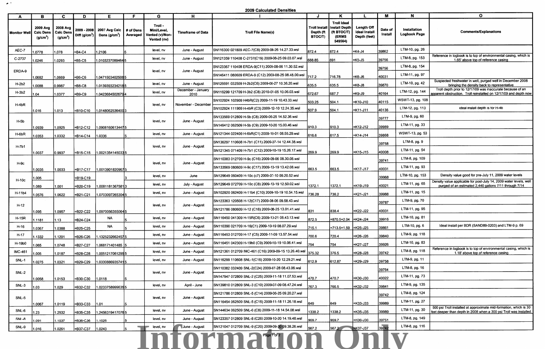.. .

**2009 Calculated Densities** 

| <b>Monitor Well</b> | в<br>2009 Avg<br><b>Calc Dens</b><br>(g/cm <sup>3</sup> ) | C.<br>2008 Avg<br><b>Calc Dens</b><br>(g/cm <sup>3</sup> ) | D              | E.<br>2009 - 2008   2007 Avg Calc   # of Dens<br>$ Diff (g/cm3) $ Dens $(g/cm3)$ Averaged | F | G<br>Troll -<br><b>Mini/Level</b><br>/ented (v)/Non-<br>Vented (nv) | H<br><b>Timeframe of Data</b> | <b>Troll File Name(s)</b>                             | Depth (ft<br><b>BTOC/T)</b> | <b>Troll Ideal</b><br>Troll Install   Install Depth<br>(ft BTOC/T)<br>(ERMS<br>549564) | Length Off<br><b>Ideal Install</b><br>Depth (feet) | м<br>Date of<br><b>Install</b> | $\mathbf N$<br>Installation<br><b>Logbook Page</b> | $\mathbf{o}$<br><b>Comments/Explanations</b>                                                                                            |
|---------------------|-----------------------------------------------------------|------------------------------------------------------------|----------------|-------------------------------------------------------------------------------------------|---|---------------------------------------------------------------------|-------------------------------|-------------------------------------------------------|-----------------------------|----------------------------------------------------------------------------------------|----------------------------------------------------|--------------------------------|----------------------------------------------------|-----------------------------------------------------------------------------------------------------------------------------------------|
| AEC-7               | 1.0778                                                    | 1.078                                                      | EB4-C4         | 1.2106                                                                                    |   | level, nv                                                           | June - August                 | SN116300 021809 AEC-7(C8) 2009-08-26 14.27.33.wsl     | 872.4                       | 872.4                                                                                  | =K4-J4                                             | 39862                          | LTM-10, pg. 26                                     |                                                                                                                                         |
| C-2737              | 1.0246                                                    | 1.0293                                                     | $\vert$ =B5-C5 | 1.01032370894645                                                                          |   | level, nv                                                           | June - August                 | SN121359 110408 C-2737(C19) 2009-08-25 09.03.07.wsl   | 688.85                      | 691                                                                                    | $=k5 - J5$                                         | 39756                          | LTM-8, pg. 153                                     | Reference in logbook is to top of environmental casing, which is<br>1.65' above top of reference casing                                 |
|                     |                                                           |                                                            |                |                                                                                           |   |                                                                     |                               | SN123367 110408 ERDA-9(C11) 2009-08-06 11.30.52.wsl   |                             |                                                                                        |                                                    | 39756                          | LTM-8, pg. 154                                     |                                                                                                                                         |
| ERDA-9              | 1.0682                                                    | .0669                                                      | $=$ B6-C6      | 1.04715034025085                                                                          |   | level, nv                                                           | June - August                 | SN146411 080609 ERDA-9 (C12) 2009-08-25 08.48.00.wsl  | 717.2                       | 716.78                                                                                 | $=$ K6-J6                                          | 40031                          | LTM-11, pg. 97                                     |                                                                                                                                         |
| $H-2b2$             | 1.0088                                                    | 0.9987                                                     | $=$ B8-C8      | 1.01393932342185                                                                          |   | level, nv                                                           | June - August                 | SN126691 032509 H-2b2(C6) 2009-08-27 10.36.20.wsl     | 635.5                       | 635.5                                                                                  | $=$ K8-J8                                          | 39870                          | LTM-10, pg. 42                                     | Suspected freshwater in well, purged well in December 2008<br>bringing the density back to representative                               |
| $H-3b2$             | 1.04                                                      | 1.0377                                                     | $E = B9-C9$    | 1.0423684502679 4                                                                         |   | level, nv                                                           | December - January<br>2010    | SN116299 121709 H-3b2 (C8) 2010-01-05 10.06.03.wsl    | 672.67                      | 687.7                                                                                  | $=$ K9-J9                                          | 40164                          | LTM-12, pg. 144                                    | Troll depth prior to 12/17/09 was inaccurate because of an<br>apparent obstruction. Troll reinstalled on 12/17/09 and depth now         |
|                     |                                                           |                                                            |                |                                                                                           |   |                                                                     |                               | SN102924 102909 H4bR(C2) 2009-11-19 10.43.33.wsl      | 503.25                      | 504.1                                                                                  | =K10-J10                                           | 40115                          | WSWT-13, pg. 108                                   |                                                                                                                                         |
| $H-4bR$             | 1.016                                                     | 1.013                                                      |                | EB10-C10 1.01480625364003                                                                 |   | level, nv                                                           | November - December           | SN102924 111909 H-4bR (C3) 2009-12-10 12.24.35.wsl    | 507.9                       | 504.1                                                                                  | $=$ K11-J11                                        | 40136                          | LTM-12, pg. 113                                    | ideal install depth is for H-4b                                                                                                         |
|                     |                                                           |                                                            |                |                                                                                           |   |                                                                     |                               | SN133569 012809 H-5b (C8) 2009-06-25 14.52.36.wsl     |                             |                                                                                        |                                                    | 39777                          | LTM-9, pg. 60                                      |                                                                                                                                         |
| $H-5b$              | 1.0939                                                    | 1.0925                                                     | $=B12-C12$     | 1.09081606134475                                                                          |   | level, nv                                                           | June - August                 | SN146412 062509 H-5b (C9) 2009-10-20 15.03.46.wsl     | 910.3                       | 910.3                                                                                  | =K12-J12                                           | 39989                          | LTM-11, pg. 33                                     |                                                                                                                                         |
| $H$ -6b $R$         | 1.0353                                                    | 1.0332                                                     | EB14-C14       | 1.0336                                                                                    |   | level, nv                                                           | June - August                 | SN121344 022409 H-6bR(C1) 2009-10-01 08.55.29.wsl     | 616.6                       | 617.5                                                                                  | =K14-J14                                           | 39868                          | WSWT-13, pg. 53                                    |                                                                                                                                         |
|                     |                                                           |                                                            |                |                                                                                           |   |                                                                     |                               | SN136297 110608 H-7b1 (C11) 2009-07-14 12.44.38.wsl   |                             |                                                                                        |                                                    | 39758                          | LTM-8, pg. 9                                       |                                                                                                                                         |
| $H-7b1$             | 1.0037                                                    | 0.9937                                                     | F=B15-C15      | 1.00213541450335                                                                          |   | level, nv                                                           | June - August                 | SN121345 071409 H-7b1 (C12) 2009-10-19 15.26.17.wsl   | 269.9                       | 269.9                                                                                  | =K15-J15                                           | 40008                          | LTM-11, pg. 54                                     |                                                                                                                                         |
|                     |                                                           |                                                            |                |                                                                                           |   |                                                                     |                               | SN110383 012709 H-9c (C16) 2009-08-06 08.30.08.wsl    |                             |                                                                                        |                                                    | 39741                          | LTM-8, pg. 109                                     |                                                                                                                                         |
| $H-9c$              | 1.0035                                                    | 1.0033                                                     | EB17-C17       | 1.00139018209675                                                                          |   | level, nv                                                           | June - August                 | SN133569 080609 H-9c (C17) 2009-10-19 13.42.08.wsl    | 663.5                       | 663.5                                                                                  | =K17-J17                                           | 40031                          | LTM-11, pg. 93                                     |                                                                                                                                         |
|                     | .005                                                      |                                                            | =B19-C19       |                                                                                           |   | level, nv                                                           | June                          | SN129649 060409 H-10c (c7) 2009-07-10 09.20.52.wsi    |                             |                                                                                        |                                                    | 39968                          | LTM-10, pg. 153                                    | Density value good for pre-July 11, 2009 water levels                                                                                   |
| H-10c               | 080.                                                      | 1.001                                                      | =B20-C19       | 1.00811813675813                                                                          |   | level, nv                                                           | July - August                 | SN129649 072709 H-10c (C8) 2009-10-19 12.50.02.wsl    | 1372.1                      | 1372.1                                                                                 | EK19-J19                                           | 40021                          | LTM-11, pg. 65                                     | Density value applicable for post-July 14, 2009 water levels, well<br>purged of an estimated 2,440 gallons 7/11 through 7/14            |
| H-11b4              | 1.0576                                                    | 1.0622                                                     | B21-C21        | 1.0703097265304                                                                           |   | level, nv                                                           | June - August                 | SN102920 062409 H-11b4 (C10) 2009-10-19 10.54.15.wsl  | 736.28                      | 736.2                                                                                  | =K21-J21                                           | 39988                          | LTM-11, pg. 15                                     |                                                                                                                                         |
|                     |                                                           |                                                            |                |                                                                                           |   |                                                                     |                               | SN123363 120508 H-12(C17) 2009-08-06 09.58.43.wsl     |                             |                                                                                        |                                                    | 39787                          | LTM-9, pg. 70                                      |                                                                                                                                         |
| $H-12$              | 1.095                                                     | 1.0957                                                     | =B22-C22       | 1.09700563550645                                                                          |   | level, nv                                                           | June - August                 | SN121786 080609 H-12 (C18) 2009-08-25 13.01.41.wsl    | 831                         | 838.4                                                                                  | $=k22-J22$                                         | 40031                          | LTM-11, pg. 95                                     |                                                                                                                                         |
| <b>H-15R</b>        | 1.1181                                                    | $.13 -$                                                    | =B24-C24       | <b>NA</b>                                                                                 |   | level, nv                                                           | June - August                 | SN116450 041309 H-15R(C6) 2009-10-21 08.43.13.wsl     | 872.5                       |                                                                                        |                                                    | 39916                          | LTM-10, pg. 81                                     |                                                                                                                                         |
| H-16                | 1.0367                                                    | .0388                                                      | =B25-C25       | <b>NA</b>                                                                                 |   | level, nv                                                           | June - August                 | SN110390 021709 H-16(C1) 2009-10-19 08.07.29.wsl      | 715.1                       |                                                                                        |                                                    | 39861                          | LTM-10, pg. 6                                      | Ideal install per BDR (SAND89-0203) and LTM-9 p. 69                                                                                     |
| $H-17$              | .1332                                                     | l.1201                                                     | EB26-C26       | .1325232662457 <b>5</b>                                                                   |   | level, nv                                                           | June - August                 | SN116453 012709 H-17 (C5) 2009-11-09 13.57.54.wsl     | 700.6                       | 720.4                                                                                  | =K26-J26                                           | 39840                          | LTM-9, pg. 118                                     |                                                                                                                                         |
| H-19b0              | .065                                                      | 1.0748                                                     | EB27-C27       | 1.068171401485 5                                                                          |   | level, nv                                                           | June - August                 | SN116451 042309 H-19b0 (C9) 2009-10-19 10.06.41.wsl   | 754                         | 754                                                                                    | =K27-J27                                           | 39926                          | LTM-10, pg. 83                                     |                                                                                                                                         |
| <b>IMC-461</b>      | .005                                                      | 1.0187                                                     | =B28-C28       | 1.00512170612955                                                                          |   | level, nv                                                           | June - August                 | SN121361 012709 IMC-461 (C16) 2009-09-15 13.26.40.wsl | 375.32                      | 376.5                                                                                  | EK28-J28                                           | 39742                          | LTM-8, pg. 118                                     | Reference in logbook is to top of environmental casing, which is<br>1.18' above top of reference casing                                 |
| <b>SNL-1</b>        | 1.0275                                                    | 1.0321                                                     | =B29-C29       | 1.03308869357415                                                                          |   | level, nv                                                           | June - August                 | SN116299 110608 SNL-1(C16) 2009-10-20 12.29.21.wsl    | 612.9                       | 612.87                                                                                 | =K29-J29                                           | 39758                          | LTM-9, pg. 11                                      |                                                                                                                                         |
|                     |                                                           |                                                            |                |                                                                                           |   |                                                                     |                               | SN110382 032409 SNL-2(C24) 2009-07-28 08.43.06.wsl    |                             |                                                                                        |                                                    | 39764                          | LTM-8, pg. 16                                      |                                                                                                                                         |
| $SNL-2$             | 1.0058                                                    | 1.0153                                                     | =B30-C30       | 1.0118                                                                                    |   | level, nv                                                           | June - August                 | SN147947 072809 SNL-2 (C25) 2009-11-18 11.07.53.wsl   | 470.7                       | 470.7                                                                                  | EK30-J30                                           | 40022                          | LTM-11, pg. 73                                     |                                                                                                                                         |
| $SNL-3$             | .03                                                       | 1.029                                                      | =B32-C32       | 1.0233758999635 5                                                                         |   | level, nv                                                           | April - June                  | SN139810 012809 SNL-3 (C10) 2009-07-09 08.47.24.wsl   | 767.3                       | 766.5                                                                                  | =K32-J32                                           | 39841                          | LTM-9, pg. 135                                     |                                                                                                                                         |
|                     |                                                           |                                                            |                |                                                                                           |   |                                                                     |                               | SN121786 012809 SNL-5 (C14) 2009-06-25 09.20.27.wsl   |                             |                                                                                        |                                                    | 39742                          | LTM-8, pg. 124                                     |                                                                                                                                         |
| $SNL-5$             | 1.0067                                                    | 1.0119                                                     | EB33-C33 1.01  |                                                                                           |   | level, nv                                                           | June - August                 | SN116454 062509 SNL-5 (C15) 2009-11-18 11.26.18.wsl   | 1649                        | 649                                                                                    | =K33-J33                                           | 39989                          | LTM-11, pg. 27                                     |                                                                                                                                         |
| SNL-6               | 1.23                                                      | 1.2532                                                     | B35-C35        | 1.24563194170765                                                                          |   | level, nv                                                           | June - August                 | SN144634 062509 SNL-6 (C8) 2009-11-18 14.54.08.wsl    | 1338.2                      | 1338.2                                                                                 | $=k35 - J35$                                       | 39989                          | LTM-11, pg. 30                                     | 500 psi Troll installed at approximate mid-formation, which is 30<br>feet deeper than depth in 2008 when a 300 psi Troll was installed. |
| SNL-8               | 1.091                                                     | 1.1037                                                     | =B36-C36       | .1026                                                                                     |   | level, nv                                                           | June - August                 | SN123357 012809 SNL-8 (C26) 2009-10-20 14.19.48.wsl   | 969.7                       | 969.7                                                                                  | $-K36-J36$                                         | 39751                          | LTM-8, pg. 149                                     |                                                                                                                                         |
| SNL-9               | 1.016                                                     | .0261                                                      | EB37-C37       | 1.0243                                                                                    |   | level, nv                                                           | June - August                 | SN121047 012709 SNL-9 (C20) 2009-09-30 09.38.26.wsl   | 567.2                       | 567,2                                                                                  | $-K37-J37$                                         | 39742                          | LTM-8, pg. 116                                     |                                                                                                                                         |
|                     |                                                           |                                                            |                |                                                                                           |   |                                                                     |                               | Uniorma <sup>racto</sup> Oh                           |                             |                                                                                        |                                                    |                                |                                                    |                                                                                                                                         |